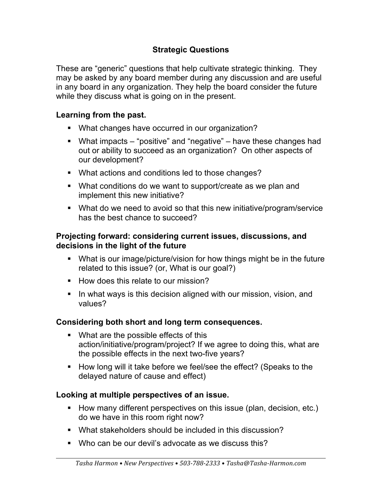# **Strategic Questions**

These are "generic" questions that help cultivate strategic thinking. They may be asked by any board member during any discussion and are useful in any board in any organization. They help the board consider the future while they discuss what is going on in the present.

#### **Learning from the past.**

- What changes have occurred in our organization?
- What impacts "positive" and "negative" have these changes had out or ability to succeed as an organization? On other aspects of our development?
- What actions and conditions led to those changes?
- What conditions do we want to support/create as we plan and implement this new initiative?
- What do we need to avoid so that this new initiative/program/service has the best chance to succeed?

#### **Projecting forward: considering current issues, discussions, and decisions in the light of the future**

- What is our image/picture/vision for how things might be in the future related to this issue? (or, What is our goal?)
- § How does this relate to our mission?
- In what ways is this decision aligned with our mission, vision, and values?

## **Considering both short and long term consequences.**

- What are the possible effects of this action/initiative/program/project? If we agree to doing this, what are the possible effects in the next two-five years?
- § How long will it take before we feel/see the effect? (Speaks to the delayed nature of cause and effect)

#### **Looking at multiple perspectives of an issue.**

- How many different perspectives on this issue (plan, decision, etc.) do we have in this room right now?
- What stakeholders should be included in this discussion?
- Who can be our devil's advocate as we discuss this?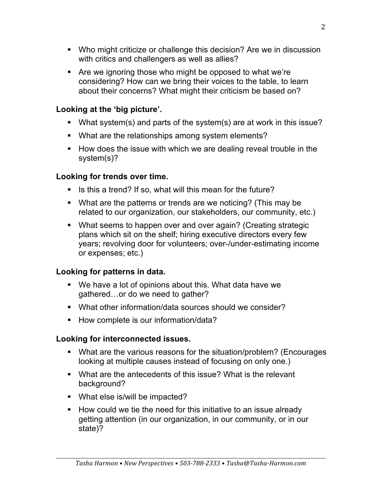- Who might criticize or challenge this decision? Are we in discussion with critics and challengers as well as allies?
- Are we ignoring those who might be opposed to what we're considering? How can we bring their voices to the table, to learn about their concerns? What might their criticism be based on?

## **Looking at the 'big picture'.**

- § What system(s) and parts of the system(s) are at work in this issue?
- What are the relationships among system elements?
- § How does the issue with which we are dealing reveal trouble in the system(s)?

# **Looking for trends over time.**

- § Is this a trend? If so, what will this mean for the future?
- What are the patterns or trends are we noticing? (This may be related to our organization, our stakeholders, our community, etc.)
- What seems to happen over and over again? (Creating strategic plans which sit on the shelf; hiring executive directors every few years; revolving door for volunteers; over-/under-estimating income or expenses; etc.)

# **Looking for patterns in data.**

- § We have a lot of opinions about this. What data have we gathered…or do we need to gather?
- § What other information/data sources should we consider?
- How complete is our information/data?

# **Looking for interconnected issues.**

- What are the various reasons for the situation/problem? (Encourages looking at multiple causes instead of focusing on only one.)
- What are the antecedents of this issue? What is the relevant background?
- What else is/will be impacted?
- § How could we tie the need for this initiative to an issue already getting attention (in our organization, in our community, or in our state)?